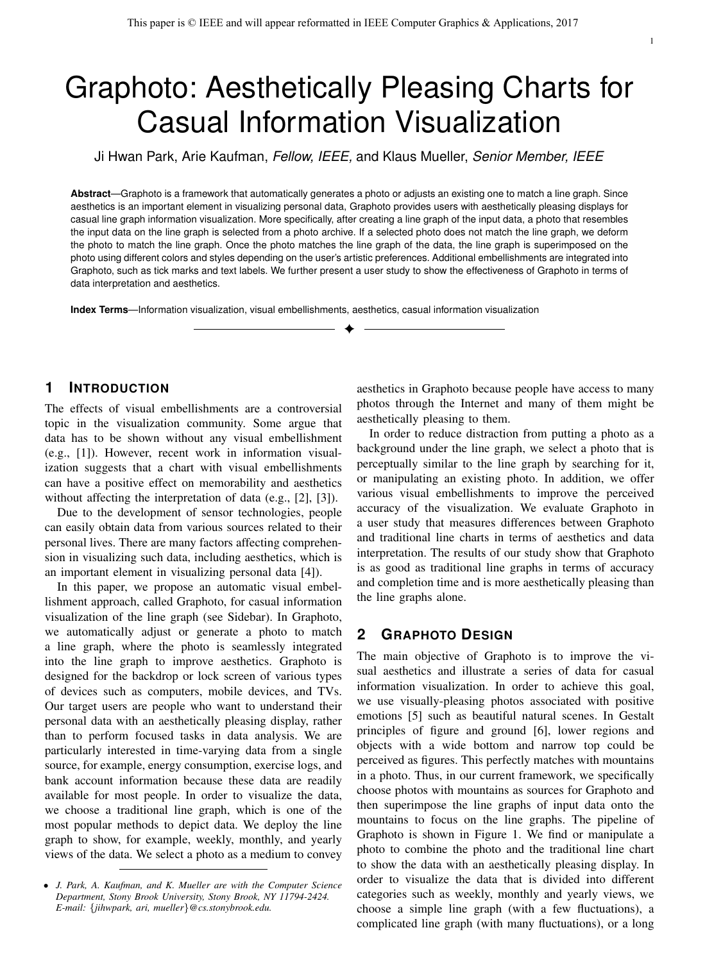# Graphoto: Aesthetically Pleasing Charts for Casual Information Visualization

Ji Hwan Park, Arie Kaufman, *Fellow, IEEE,* and Klaus Mueller, *Senior Member, IEEE*

**Abstract**—Graphoto is a framework that automatically generates a photo or adjusts an existing one to match a line graph. Since aesthetics is an important element in visualizing personal data, Graphoto provides users with aesthetically pleasing displays for casual line graph information visualization. More specifically, after creating a line graph of the input data, a photo that resembles the input data on the line graph is selected from a photo archive. If a selected photo does not match the line graph, we deform the photo to match the line graph. Once the photo matches the line graph of the data, the line graph is superimposed on the photo using different colors and styles depending on the user's artistic preferences. Additional embellishments are integrated into Graphoto, such as tick marks and text labels. We further present a user study to show the effectiveness of Graphoto in terms of data interpretation and aesthetics.

✦

**Index Terms**—Information visualization, visual embellishments, aesthetics, casual information visualization

# **1 INTRODUCTION**

The effects of visual embellishments are a controversial topic in the visualization community. Some argue that data has to be shown without any visual embellishment (e.g., [1]). However, recent work in information visualization suggests that a chart with visual embellishments can have a positive effect on memorability and aesthetics without affecting the interpretation of data (e.g., [2], [3]).

Due to the development of sensor technologies, people can easily obtain data from various sources related to their personal lives. There are many factors affecting comprehension in visualizing such data, including aesthetics, which is an important element in visualizing personal data [4]).

In this paper, we propose an automatic visual embellishment approach, called Graphoto, for casual information visualization of the line graph (see Sidebar). In Graphoto, we automatically adjust or generate a photo to match a line graph, where the photo is seamlessly integrated into the line graph to improve aesthetics. Graphoto is designed for the backdrop or lock screen of various types of devices such as computers, mobile devices, and TVs. Our target users are people who want to understand their personal data with an aesthetically pleasing display, rather than to perform focused tasks in data analysis. We are particularly interested in time-varying data from a single source, for example, energy consumption, exercise logs, and bank account information because these data are readily available for most people. In order to visualize the data, we choose a traditional line graph, which is one of the most popular methods to depict data. We deploy the line graph to show, for example, weekly, monthly, and yearly views of the data. We select a photo as a medium to convey

aesthetics in Graphoto because people have access to many photos through the Internet and many of them might be aesthetically pleasing to them.

In order to reduce distraction from putting a photo as a background under the line graph, we select a photo that is perceptually similar to the line graph by searching for it, or manipulating an existing photo. In addition, we offer various visual embellishments to improve the perceived accuracy of the visualization. We evaluate Graphoto in a user study that measures differences between Graphoto and traditional line charts in terms of aesthetics and data interpretation. The results of our study show that Graphoto is as good as traditional line graphs in terms of accuracy and completion time and is more aesthetically pleasing than the line graphs alone.

# **2 GRAPHOTO DESIGN**

The main objective of Graphoto is to improve the visual aesthetics and illustrate a series of data for casual information visualization. In order to achieve this goal, we use visually-pleasing photos associated with positive emotions [5] such as beautiful natural scenes. In Gestalt principles of figure and ground [6], lower regions and objects with a wide bottom and narrow top could be perceived as figures. This perfectly matches with mountains in a photo. Thus, in our current framework, we specifically choose photos with mountains as sources for Graphoto and then superimpose the line graphs of input data onto the mountains to focus on the line graphs. The pipeline of Graphoto is shown in Figure 1. We find or manipulate a photo to combine the photo and the traditional line chart to show the data with an aesthetically pleasing display. In order to visualize the data that is divided into different categories such as weekly, monthly and yearly views, we choose a simple line graph (with a few fluctuations), a complicated line graph (with many fluctuations), or a long

<sup>•</sup> *J. Park, A. Kaufman, and K. Mueller are with the Computer Science Department, Stony Brook University, Stony Brook, NY 11794-2424. E-mail:* {*jihwpark, ari, mueller*}*@cs.stonybrook.edu.*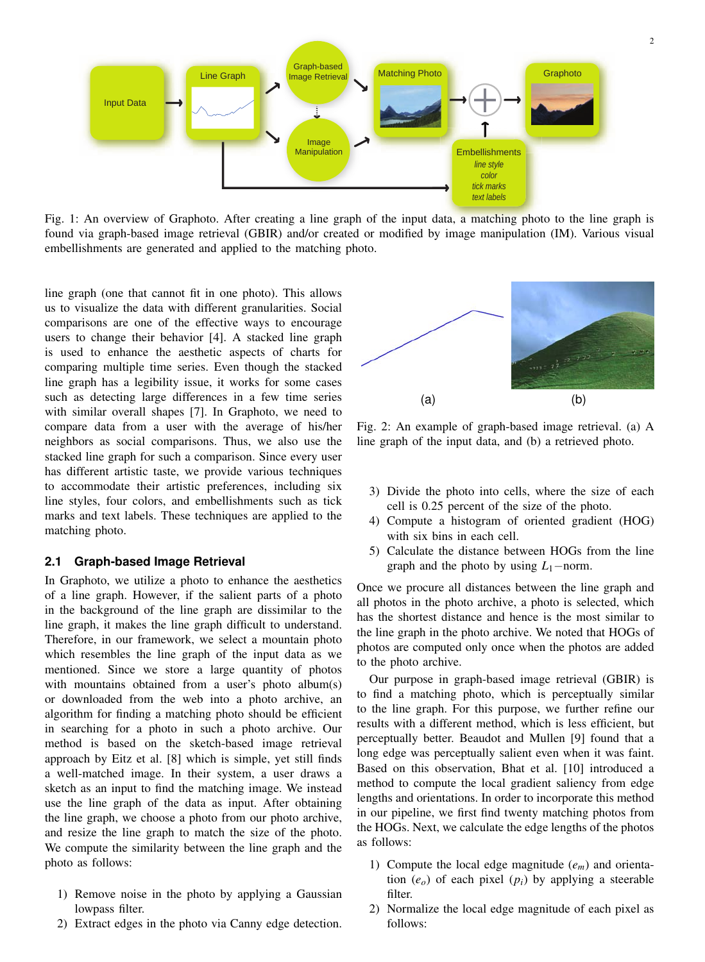

Fig. 1: An overview of Graphoto. After creating a line graph of the input data, a matching photo to the line graph is found via graph-based image retrieval (GBIR) and/or created or modified by image manipulation (IM). Various visual embellishments are generated and applied to the matching photo.

line graph (one that cannot fit in one photo). This allows us to visualize the data with different granularities. Social comparisons are one of the effective ways to encourage users to change their behavior [4]. A stacked line graph is used to enhance the aesthetic aspects of charts for comparing multiple time series. Even though the stacked line graph has a legibility issue, it works for some cases such as detecting large differences in a few time series with similar overall shapes [7]. In Graphoto, we need to compare data from a user with the average of his/her neighbors as social comparisons. Thus, we also use the stacked line graph for such a comparison. Since every user has different artistic taste, we provide various techniques to accommodate their artistic preferences, including six line styles, four colors, and embellishments such as tick marks and text labels. These techniques are applied to the matching photo.

#### **Graph-based Image Retrieval**  $2.1$

In Graphoto, we utilize a photo to enhance the aesthetics of a line graph. However, if the salient parts of a photo in the background of the line graph are dissimilar to the line graph, it makes the line graph difficult to understand. Therefore, in our framework, we select a mountain photo which resembles the line graph of the input data as we mentioned. Since we store a large quantity of photos with mountains obtained from a user's photo album(s) or downloaded from the web into a photo archive, an algorithm for finding a matching photo should be efficient in searching for a photo in such a photo archive. Our method is based on the sketch-based image retrieval approach by Eitz et al. [8] which is simple, yet still finds a well-matched image. In their system, a user draws a sketch as an input to find the matching image. We instead use the line graph of the data as input. After obtaining the line graph, we choose a photo from our photo archive, and resize the line graph to match the size of the photo. We compute the similarity between the line graph and the photo as follows:

- 1) Remove noise in the photo by applying a Gaussian lowpass filter.
- 2) Extract edges in the photo via Canny edge detection.



Fig. 2: An example of graph-based image retrieval. (a) A line graph of the input data, and (b) a retrieved photo.

- 3) Divide the photo into cells, where the size of each cell is 0.25 percent of the size of the photo.
- 4) Compute a histogram of oriented gradient (HOG) with six bins in each cell.
- 5) Calculate the distance between HOGs from the line graph and the photo by using  $L_1$ -norm.

Once we procure all distances between the line graph and all photos in the photo archive, a photo is selected, which has the shortest distance and hence is the most similar to the line graph in the photo archive. We noted that HOGs of photos are computed only once when the photos are added to the photo archive.

Our purpose in graph-based image retrieval (GBIR) is to find a matching photo, which is perceptually similar to the line graph. For this purpose, we further refine our results with a different method, which is less efficient, but perceptually better. Beaudot and Mullen [9] found that a long edge was perceptually salient even when it was faint. Based on this observation, Bhat et al. [10] introduced a method to compute the local gradient saliency from edge lengths and orientations. In order to incorporate this method in our pipeline, we first find twenty matching photos from the HOGs. Next, we calculate the edge lengths of the photos as follows:

- 1) Compute the local edge magnitude  $(e_m)$  and orientation  $(e_0)$  of each pixel  $(p_i)$  by applying a steerable filter.
- 2) Normalize the local edge magnitude of each pixel as follows: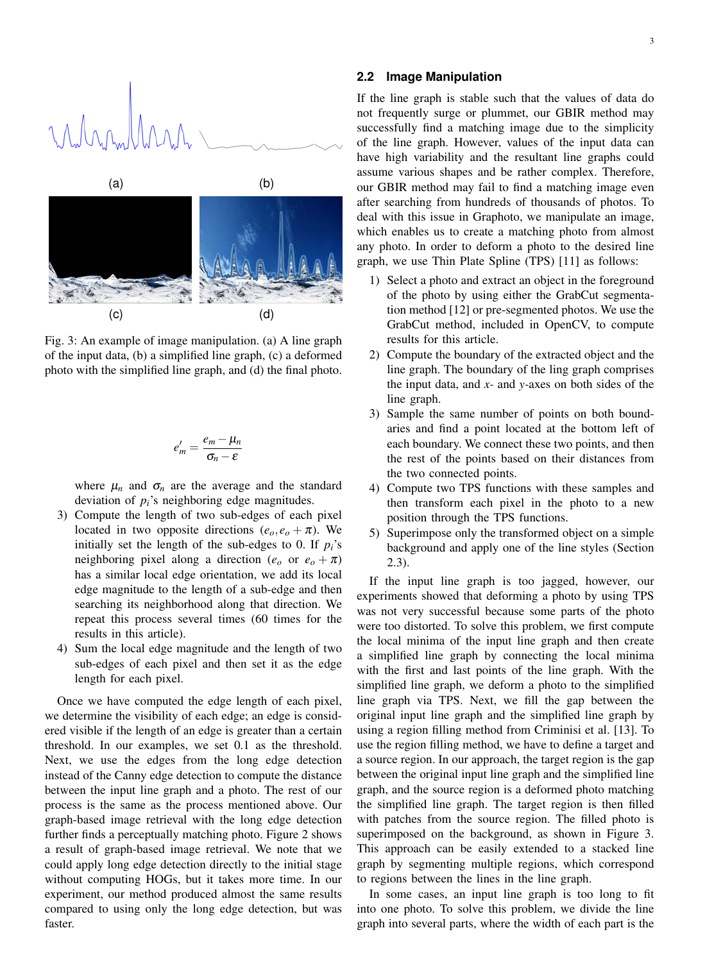



Fig. 3: An example of image manipulation. (a) A line graph of the input data, (b) a simplified line graph, (c) a deformed photo with the simplified line graph, and (d) the final photo.

$$
e'_m=\frac{e_m-\mu_n}{\sigma_n-\varepsilon}
$$

where  $\mu_n$  and  $\sigma_n$  are the average and the standard deviation of  $p_i$ 's neighboring edge magnitudes.

- 3) Compute the length of two sub-edges of each pixel located in two opposite directions  $(e_o, e_o + \pi)$ . We initially set the length of the sub-edges to 0. If  $p_i$ 's neighboring pixel along a direction ( $e_o$  or  $e_o + \pi$ ) has a similar local edge orientation, we add its local edge magnitude to the length of a sub-edge and then searching its neighborhood along that direction. We repeat this process several times (60 times for the results in this article).
- 4) Sum the local edge magnitude and the length of two sub-edges of each pixel and then set it as the edge length for each pixel.

Once we have computed the edge length of each pixel, we determine the visibility of each edge; an edge is considered visible if the length of an edge is greater than a certain threshold. In our examples, we set 0.1 as the threshold. Next, we use the edges from the long edge detection instead of the Canny edge detection to compute the distance between the input line graph and a photo. The rest of our process is the same as the process mentioned above. Our graph-based image retrieval with the long edge detection further finds a perceptually matching photo. Figure 2 shows a result of graph-based image retrieval. We note that we could apply long edge detection directly to the initial stage without computing HOGs, but it takes more time. In our experiment, our method produced almost the same results compared to using only the long edge detection, but was faster.

# 2.2 Image Manipulation

If the line graph is stable such that the values of data do not frequently surge or plummet, our GBIR method may successfully find a matching image due to the simplicity of the line graph. However, values of the input data can have high variability and the resultant line graphs could assume various shapes and be rather complex. Therefore, our GBIR method may fail to find a matching image even after searching from hundreds of thousands of photos. To deal with this issue in Graphoto, we manipulate an image, which enables us to create a matching photo from almost any photo. In order to deform a photo to the desired line graph, we use Thin Plate Spline (TPS) [11] as follows:

- 1) Select a photo and extract an object in the foreground of the photo by using either the GrabCut segmentation method [12] or pre-segmented photos. We use the GrabCut method, included in OpenCV, to compute results for this article.
- 2) Compute the boundary of the extracted object and the line graph. The boundary of the ling graph comprises the input data, and  $x$ - and  $y$ -axes on both sides of the line graph.
- 3) Sample the same number of points on both boundaries and find a point located at the bottom left of each boundary. We connect these two points, and then the rest of the points based on their distances from the two connected points.
- 4) Compute two TPS functions with these samples and then transform each pixel in the photo to a new position through the TPS functions.
- 5) Superimpose only the transformed object on a simple background and apply one of the line styles (Section  $(2.3).$

If the input line graph is too jagged, however, our experiments showed that deforming a photo by using TPS was not very successful because some parts of the photo were too distorted. To solve this problem, we first compute the local minima of the input line graph and then create a simplified line graph by connecting the local minima with the first and last points of the line graph. With the simplified line graph, we deform a photo to the simplified line graph via TPS. Next, we fill the gap between the original input line graph and the simplified line graph by using a region filling method from Criminisi et al. [13]. To use the region filling method, we have to define a target and a source region. In our approach, the target region is the gap between the original input line graph and the simplified line graph, and the source region is a deformed photo matching the simplified line graph. The target region is then filled with patches from the source region. The filled photo is superimposed on the background, as shown in Figure 3. This approach can be easily extended to a stacked line graph by segmenting multiple regions, which correspond to regions between the lines in the line graph.

In some cases, an input line graph is too long to fit into one photo. To solve this problem, we divide the line graph into several parts, where the width of each part is the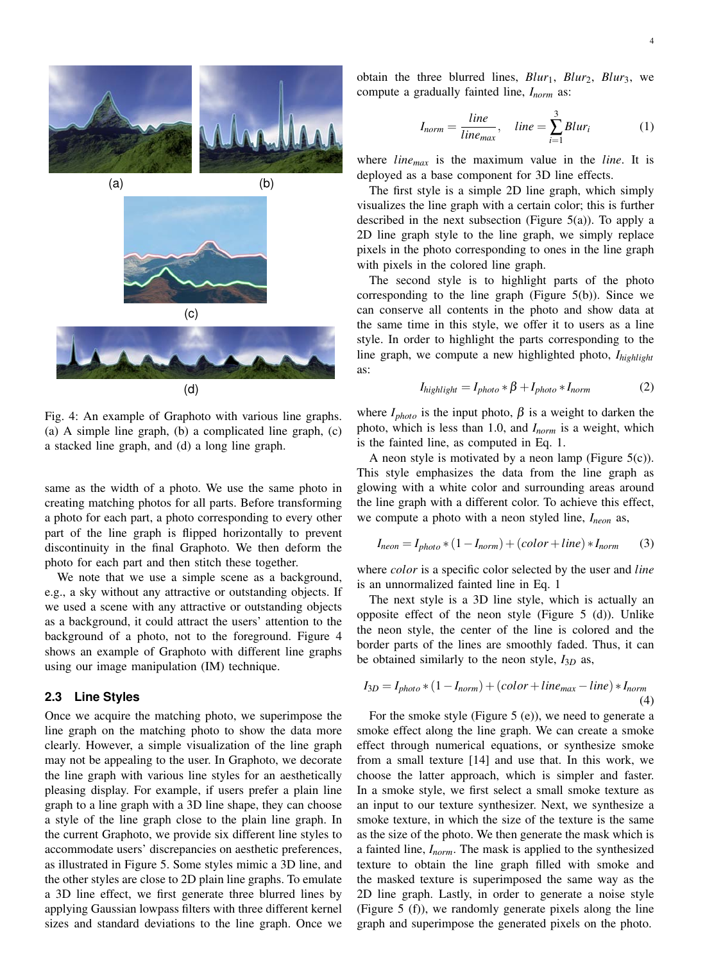

 $(d)$ 

Fig. 4: An example of Graphoto with various line graphs. (a) A simple line graph, (b) a complicated line graph, (c) a stacked line graph, and (d) a long line graph.

same as the width of a photo. We use the same photo in creating matching photos for all parts. Before transforming a photo for each part, a photo corresponding to every other part of the line graph is flipped horizontally to prevent discontinuity in the final Graphoto. We then deform the photo for each part and then stitch these together.

We note that we use a simple scene as a background, e.g., a sky without any attractive or outstanding objects. If we used a scene with any attractive or outstanding objects as a background, it could attract the users' attention to the background of a photo, not to the foreground. Figure 4 shows an example of Graphoto with different line graphs using our image manipulation (IM) technique.

# 2.3 Line Styles

Once we acquire the matching photo, we superimpose the line graph on the matching photo to show the data more clearly. However, a simple visualization of the line graph may not be appealing to the user. In Graphoto, we decorate the line graph with various line styles for an aesthetically pleasing display. For example, if users prefer a plain line graph to a line graph with a 3D line shape, they can choose a style of the line graph close to the plain line graph. In the current Graphoto, we provide six different line styles to accommodate users' discrepancies on aesthetic preferences, as illustrated in Figure 5. Some styles mimic a 3D line, and the other styles are close to 2D plain line graphs. To emulate a 3D line effect, we first generate three blurred lines by applying Gaussian lowpass filters with three different kernel sizes and standard deviations to the line graph. Once we

obtain the three blurred lines,  $Blur_1$ ,  $Blur_2$ ,  $Blur_3$ , we compute a gradually fainted line,  $I_{norm}$  as:

$$
I_{norm} = \frac{line}{line_{max}}, \quad line = \sum_{i=1}^{3} Blur_i
$$
 (1)

where  $line_{max}$  is the maximum value in the *line*. It is deployed as a base component for 3D line effects.

The first style is a simple 2D line graph, which simply visualizes the line graph with a certain color; this is further described in the next subsection (Figure  $5(a)$ ). To apply a 2D line graph style to the line graph, we simply replace pixels in the photo corresponding to ones in the line graph with pixels in the colored line graph.

The second style is to highlight parts of the photo corresponding to the line graph (Figure  $5(b)$ ). Since we can conserve all contents in the photo and show data at the same time in this style, we offer it to users as a line style. In order to highlight the parts corresponding to the line graph, we compute a new highlighted photo,  $I<sub>hiehlieht</sub>$ as:

$$
I_{\text{highlight}} = I_{\text{photo}} * \beta + I_{\text{photo}} * I_{\text{norm}} \tag{2}
$$

where  $I_{photo}$  is the input photo,  $\beta$  is a weight to darken the photo, which is less than 1.0, and  $I_{norm}$  is a weight, which is the fainted line, as computed in Eq. 1.

A neon style is motivated by a neon lamp (Figure  $5(c)$ ). This style emphasizes the data from the line graph as glowing with a white color and surrounding areas around the line graph with a different color. To achieve this effect, we compute a photo with a neon styled line,  $I_{neon}$  as,

$$
I_{neon} = I_{photo} * (1 - I_{norm}) + (color + line) * I_{norm}
$$
 (3)

where *color* is a specific color selected by the user and *line* is an unnormalized fainted line in Eq. 1

The next style is a 3D line style, which is actually an opposite effect of the neon style (Figure  $5$  (d)). Unlike the neon style, the center of the line is colored and the border parts of the lines are smoothly faded. Thus, it can be obtained similarly to the neon style,  $I_{3D}$  as,

$$
I_{3D} = I_{photo} * (1 - I_{norm}) + (color + line_{max} - line) * I_{norm}
$$
\n(4)

For the smoke style (Figure  $5$  (e)), we need to generate a smoke effect along the line graph. We can create a smoke effect through numerical equations, or synthesize smoke from a small texture [14] and use that. In this work, we choose the latter approach, which is simpler and faster. In a smoke style, we first select a small smoke texture as an input to our texture synthesizer. Next, we synthesize a smoke texture, in which the size of the texture is the same as the size of the photo. We then generate the mask which is a fainted line,  $I_{norm}$ . The mask is applied to the synthesized texture to obtain the line graph filled with smoke and the masked texture is superimposed the same way as the 2D line graph. Lastly, in order to generate a noise style (Figure 5 (f)), we randomly generate pixels along the line graph and superimpose the generated pixels on the photo.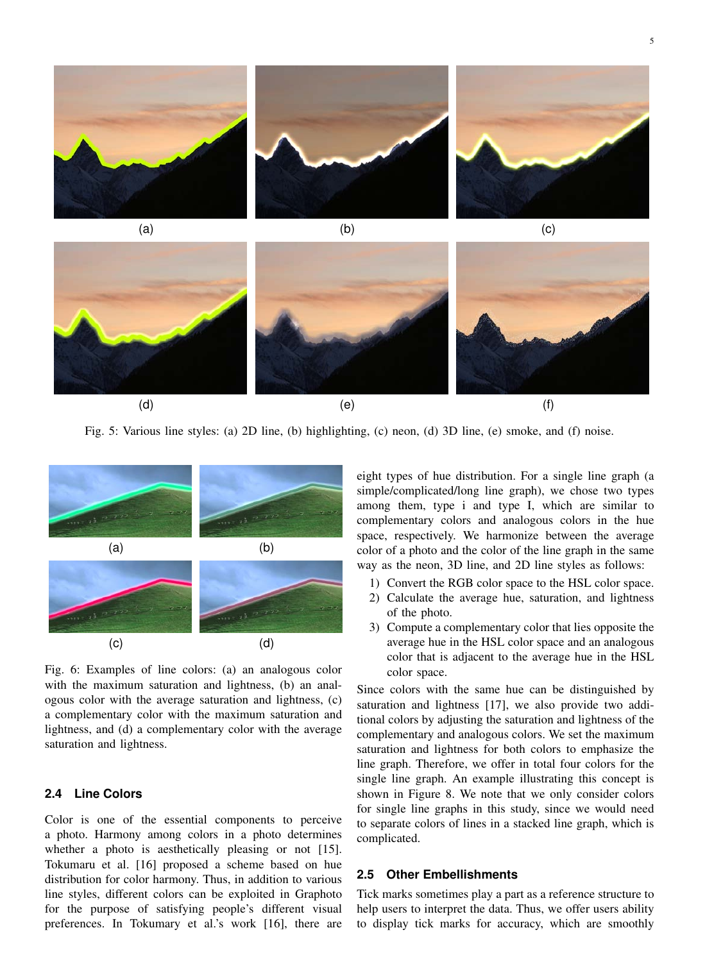



Fig. 5: Various line styles: (a) 2D line, (b) highlighting, (c) neon, (d) 3D line, (e) smoke, and (f) noise.



Fig. 6: Examples of line colors: (a) an analogous color with the maximum saturation and lightness, (b) an analogous color with the average saturation and lightness, (c) a complementary color with the maximum saturation and lightness, and (d) a complementary color with the average saturation and lightness.

#### **Line Colors**  $2.4$

Color is one of the essential components to perceive a photo. Harmony among colors in a photo determines whether a photo is aesthetically pleasing or not [15]. Tokumaru et al. [16] proposed a scheme based on hue distribution for color harmony. Thus, in addition to various line styles, different colors can be exploited in Graphoto for the purpose of satisfying people's different visual preferences. In Tokumary et al.'s work [16], there are

eight types of hue distribution. For a single line graph (a simple/complicated/long line graph), we chose two types among them, type i and type I, which are similar to complementary colors and analogous colors in the hue space, respectively. We harmonize between the average color of a photo and the color of the line graph in the same way as the neon, 3D line, and 2D line styles as follows:

- 1) Convert the RGB color space to the HSL color space.
- 2) Calculate the average hue, saturation, and lightness of the photo.
- 3) Compute a complementary color that lies opposite the average hue in the HSL color space and an analogous color that is adjacent to the average hue in the HSL color space.

Since colors with the same hue can be distinguished by saturation and lightness [17], we also provide two additional colors by adjusting the saturation and lightness of the complementary and analogous colors. We set the maximum saturation and lightness for both colors to emphasize the line graph. Therefore, we offer in total four colors for the single line graph. An example illustrating this concept is shown in Figure 8. We note that we only consider colors for single line graphs in this study, since we would need to separate colors of lines in a stacked line graph, which is complicated.

### 2.5 Other Embellishments

Tick marks sometimes play a part as a reference structure to help users to interpret the data. Thus, we offer users ability to display tick marks for accuracy, which are smoothly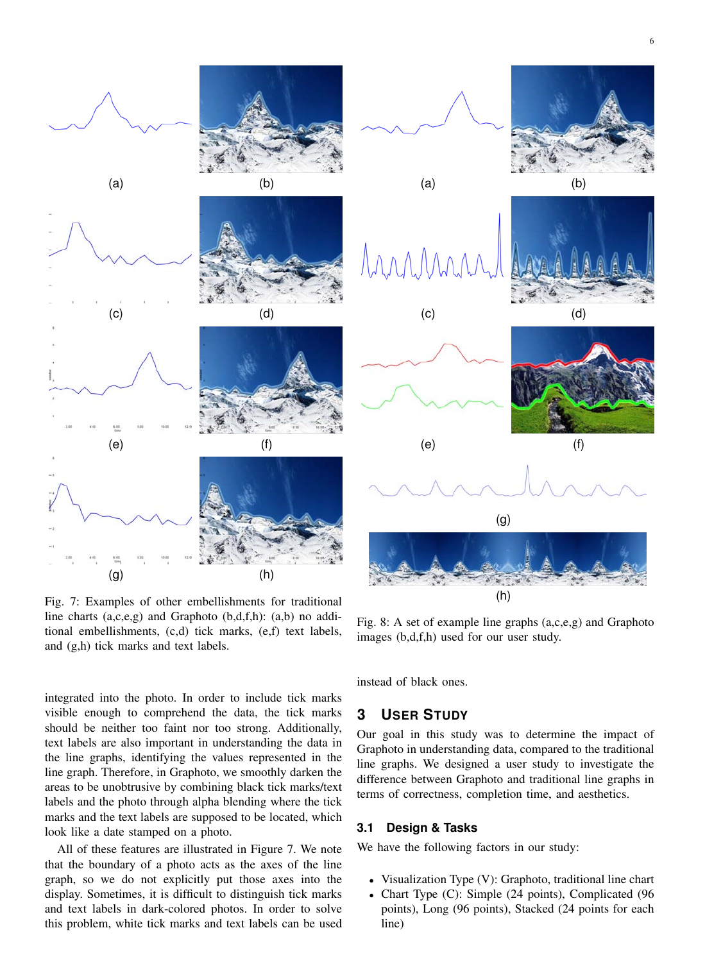

Fig. 7: Examples of other embellishments for traditional line charts  $(a,c,e,g)$  and Graphoto  $(b,d,f,h)$ :  $(a,b)$  no additional embellishments, (c,d) tick marks, (e,f) text labels, and (g,h) tick marks and text labels.

Fig. 8: A set of example line graphs  $(a,c,e,g)$  and Graphoto images (b,d,f,h) used for our user study.

integrated into the photo. In order to include tick marks visible enough to comprehend the data, the tick marks should be neither too faint nor too strong. Additionally, text labels are also important in understanding the data in the line graphs, identifying the values represented in the line graph. Therefore, in Graphoto, we smoothly darken the areas to be unobtrusive by combining black tick marks/text labels and the photo through alpha blending where the tick marks and the text labels are supposed to be located, which look like a date stamped on a photo.

All of these features are illustrated in Figure 7. We note that the boundary of a photo acts as the axes of the line graph, so we do not explicitly put those axes into the display. Sometimes, it is difficult to distinguish tick marks and text labels in dark-colored photos. In order to solve this problem, white tick marks and text labels can be used

instead of black ones.

#### **USER STUDY** 3

Our goal in this study was to determine the impact of Graphoto in understanding data, compared to the traditional line graphs. We designed a user study to investigate the difference between Graphoto and traditional line graphs in terms of correctness, completion time, and aesthetics.

#### $3.1$ **Design & Tasks**

We have the following factors in our study:

- Visualization Type (V): Graphoto, traditional line chart
- Chart Type (C): Simple (24 points), Complicated (96 points), Long (96 points), Stacked (24 points for each  $line)$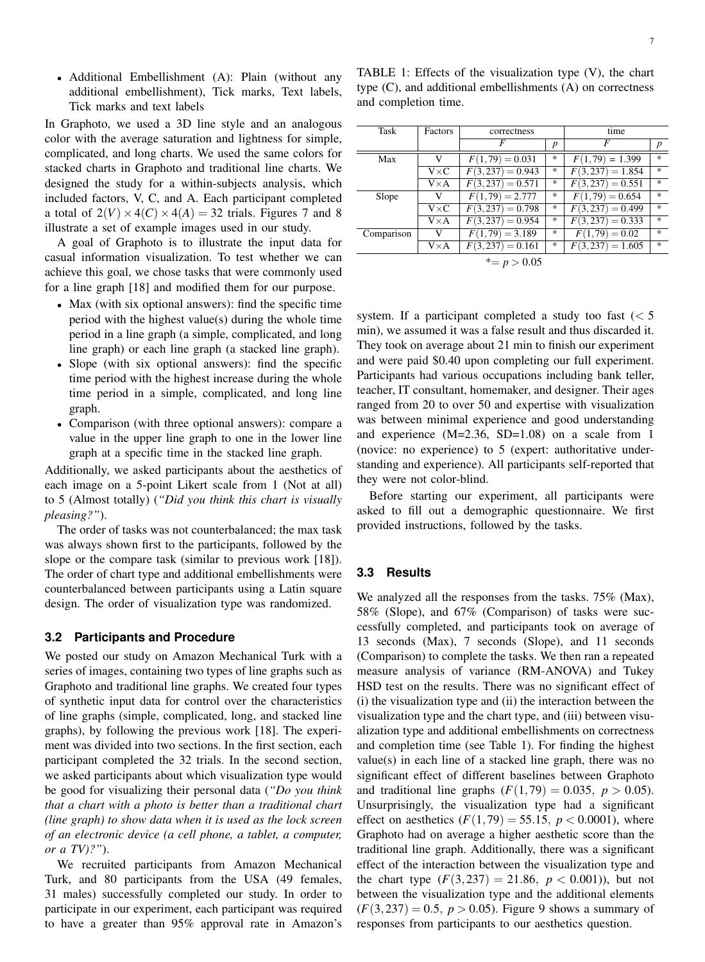• Additional Embellishment (A): Plain (without any additional embellishment), Tick marks, Text labels, Tick marks and text labels

In Graphoto, we used a 3D line style and an analogous color with the average saturation and lightness for simple, complicated, and long charts. We used the same colors for stacked charts in Graphoto and traditional line charts. We designed the study for a within-subjects analysis, which included factors, V, C, and A. Each participant completed a total of  $2(V) \times 4(C) \times 4(A) = 32$  trials. Figures 7 and 8 illustrate a set of example images used in our study.

A goal of Graphoto is to illustrate the input data for casual information visualization. To test whether we can achieve this goal, we chose tasks that were commonly used for a line graph [18] and modified them for our purpose.

- Max (with six optional answers): find the specific time period with the highest value(s) during the whole time period in a line graph (a simple, complicated, and long line graph) or each line graph (a stacked line graph).
- Slope (with six optional answers): find the specific time period with the highest increase during the whole time period in a simple, complicated, and long line graph.
- Comparison (with three optional answers): compare a value in the upper line graph to one in the lower line graph at a specific time in the stacked line graph.

Additionally, we asked participants about the aesthetics of each image on a 5-point Likert scale from 1 (Not at all) to 5 (Almost totally) ("Did you think this chart is visually pleasing?").

The order of tasks was not counterbalanced; the max task was always shown first to the participants, followed by the slope or the compare task (similar to previous work [18]). The order of chart type and additional embellishments were counterbalanced between participants using a Latin square design. The order of visualization type was randomized.

### 3.2 Participants and Procedure

We posted our study on Amazon Mechanical Turk with a series of images, containing two types of line graphs such as Graphoto and traditional line graphs. We created four types of synthetic input data for control over the characteristics of line graphs (simple, complicated, long, and stacked line graphs), by following the previous work [18]. The experiment was divided into two sections. In the first section, each participant completed the 32 trials. In the second section, we asked participants about which visualization type would be good for visualizing their personal data ("Do you think that a chart with a photo is better than a traditional chart (line graph) to show data when it is used as the lock screen of an electronic device (a cell phone, a tablet, a computer, or a  $TV$ )?").

We recruited participants from Amazon Mechanical Turk, and 80 participants from the USA (49 females, 31 males) successfully completed our study. In order to participate in our experiment, each participant was required to have a greater than 95% approval rate in Amazon's

TABLE 1: Effects of the visualization type  $(V)$ , the chart type (C), and additional embellishments (A) on correctness and completion time.

| Task           | Factors      | correctness        |                  | time               |                                   |
|----------------|--------------|--------------------|------------------|--------------------|-----------------------------------|
|                |              | F                  | $\boldsymbol{p}$ | F                  | $\boldsymbol{p}$                  |
| Max            | V            | $F(1,79) = 0.031$  | *                | $F(1,79) = 1.399$  | 宋                                 |
|                | $V \times C$ | $F(3,237) = 0.943$ | *                | $F(3,237) = 1.854$ | $\frac{d\mathbf{x}}{d\mathbf{x}}$ |
|                | $V \times A$ | $F(3,237) = 0.571$ | *                | $F(3,237) = 0.551$ | 宋                                 |
| Slope          | V            | $F(1,79) = 2.777$  | *                | $F(1,79) = 0.654$  | $\frac{d\mathbf{x}}{d\mathbf{x}}$ |
|                | $V \times C$ | $F(3,237) = 0.798$ | *                | $F(3,237) = 0.499$ | $\frac{d\mathbf{x}}{d\mathbf{x}}$ |
|                | $V \times A$ | $F(3,237) = 0.954$ | *                | $F(3,237) = 0.333$ | $\frac{1}{2\pi}$                  |
| Comparison     | V            | $F(1,79) = 3.189$  | *                | $F(1,79) = 0.02$   | $\frac{1}{2\pi}$                  |
|                | $V \times A$ | $F(3,237)=0.161$   | *                | $F(3,237) = 1.605$ | $\frac{d\mathbf{x}}{d\mathbf{x}}$ |
| $* = p > 0.05$ |              |                    |                  |                    |                                   |

system. If a participant completed a study too fast  $(< 5$ min), we assumed it was a false result and thus discarded it. They took on average about 21 min to finish our experiment and were paid \$0.40 upon completing our full experiment. Participants had various occupations including bank teller, teacher, IT consultant, homemaker, and designer. Their ages ranged from 20 to over 50 and expertise with visualization was between minimal experience and good understanding and experience (M=2.36, SD=1.08) on a scale from 1 (novice: no experience) to 5 (expert: authoritative understanding and experience). All participants self-reported that they were not color-blind.

Before starting our experiment, all participants were asked to fill out a demographic questionnaire. We first provided instructions, followed by the tasks.

# 3.3 Results

We analyzed all the responses from the tasks. 75% (Max), 58% (Slope), and 67% (Comparison) of tasks were successfully completed, and participants took on average of 13 seconds (Max), 7 seconds (Slope), and 11 seconds (Comparison) to complete the tasks. We then ran a repeated measure analysis of variance (RM-ANOVA) and Tukey HSD test on the results. There was no significant effect of (i) the visualization type and (ii) the interaction between the visualization type and the chart type, and (iii) between visualization type and additional embellishments on correctness and completion time (see Table 1). For finding the highest value(s) in each line of a stacked line graph, there was no significant effect of different baselines between Graphoto and traditional line graphs  $(F(1, 79) = 0.035, p > 0.05)$ . Unsurprisingly, the visualization type had a significant effect on aesthetics  $(F(1, 79) = 55.15, p < 0.0001)$ , where Graphoto had on average a higher aesthetic score than the traditional line graph. Additionally, there was a significant effect of the interaction between the visualization type and the chart type  $(F(3, 237) = 21.86, p < 0.001)$ , but not between the visualization type and the additional elements  $(F(3, 237) = 0.5, p > 0.05)$ . Figure 9 shows a summary of responses from participants to our aesthetics question.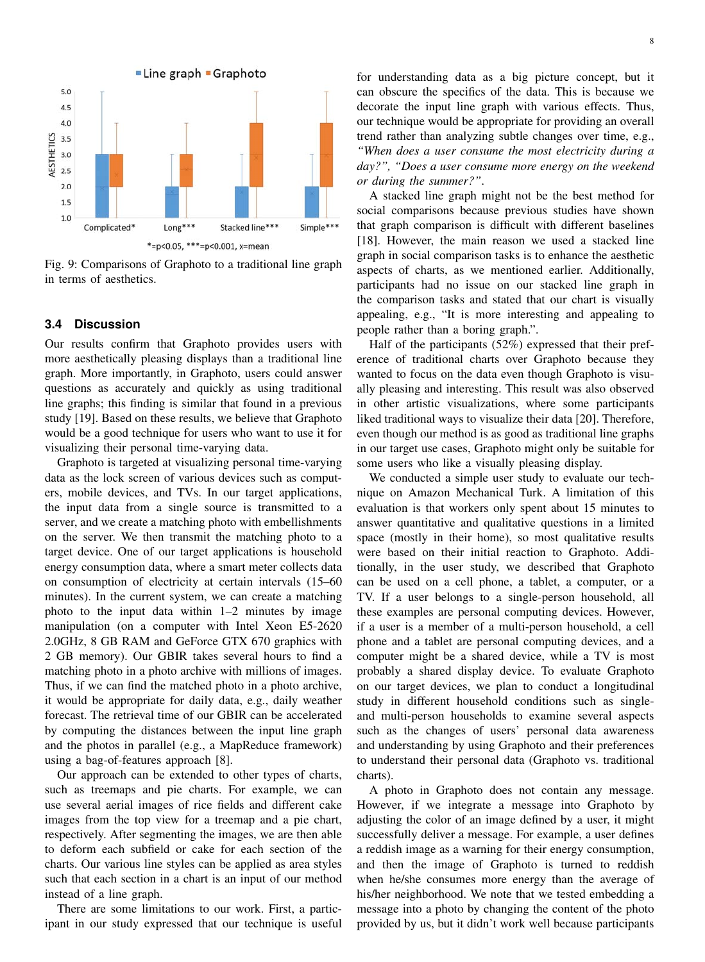

Fig. 9: Comparisons of Graphoto to a traditional line graph in terms of aesthetics.

#### $3.4$ **Discussion**

Our results confirm that Graphoto provides users with more aesthetically pleasing displays than a traditional line graph. More importantly, in Graphoto, users could answer questions as accurately and quickly as using traditional line graphs; this finding is similar that found in a previous study [19]. Based on these results, we believe that Graphoto would be a good technique for users who want to use it for visualizing their personal time-varying data.

Graphoto is targeted at visualizing personal time-varying data as the lock screen of various devices such as computers, mobile devices, and TVs. In our target applications, the input data from a single source is transmitted to a server, and we create a matching photo with embellishments on the server. We then transmit the matching photo to a target device. One of our target applications is household energy consumption data, where a smart meter collects data on consumption of electricity at certain intervals (15–60) minutes). In the current system, we can create a matching photo to the input data within  $1-2$  minutes by image manipulation (on a computer with Intel Xeon E5-2620 2.0GHz, 8 GB RAM and GeForce GTX 670 graphics with 2 GB memory). Our GBIR takes several hours to find a matching photo in a photo archive with millions of images. Thus, if we can find the matched photo in a photo archive, it would be appropriate for daily data, e.g., daily weather forecast. The retrieval time of our GBIR can be accelerated by computing the distances between the input line graph and the photos in parallel (e.g., a MapReduce framework) using a bag-of-features approach [8].

Our approach can be extended to other types of charts, such as treemaps and pie charts. For example, we can use several aerial images of rice fields and different cake images from the top view for a treemap and a pie chart, respectively. After segmenting the images, we are then able to deform each subfield or cake for each section of the charts. Our various line styles can be applied as area styles such that each section in a chart is an input of our method instead of a line graph.

There are some limitations to our work. First, a participant in our study expressed that our technique is useful for understanding data as a big picture concept, but it can obscure the specifics of the data. This is because we decorate the input line graph with various effects. Thus, our technique would be appropriate for providing an overall trend rather than analyzing subtle changes over time, e.g., "When does a user consume the most electricity during a day?", "Does a user consume more energy on the weekend or during the summer?".

A stacked line graph might not be the best method for social comparisons because previous studies have shown that graph comparison is difficult with different baselines [18]. However, the main reason we used a stacked line graph in social comparison tasks is to enhance the aesthetic aspects of charts, as we mentioned earlier. Additionally, participants had no issue on our stacked line graph in the comparison tasks and stated that our chart is visually appealing, e.g., "It is more interesting and appealing to people rather than a boring graph.".

Half of the participants  $(52%)$  expressed that their preference of traditional charts over Graphoto because they wanted to focus on the data even though Graphoto is visually pleasing and interesting. This result was also observed in other artistic visualizations, where some participants liked traditional ways to visualize their data [20]. Therefore, even though our method is as good as traditional line graphs in our target use cases, Graphoto might only be suitable for some users who like a visually pleasing display.

We conducted a simple user study to evaluate our technique on Amazon Mechanical Turk. A limitation of this evaluation is that workers only spent about 15 minutes to answer quantitative and qualitative questions in a limited space (mostly in their home), so most qualitative results were based on their initial reaction to Graphoto. Additionally, in the user study, we described that Graphoto can be used on a cell phone, a tablet, a computer, or a TV. If a user belongs to a single-person household, all these examples are personal computing devices. However, if a user is a member of a multi-person household, a cell phone and a tablet are personal computing devices, and a computer might be a shared device, while a TV is most probably a shared display device. To evaluate Graphoto on our target devices, we plan to conduct a longitudinal study in different household conditions such as singleand multi-person households to examine several aspects such as the changes of users' personal data awareness and understanding by using Graphoto and their preferences to understand their personal data (Graphoto vs. traditional charts).

A photo in Graphoto does not contain any message. However, if we integrate a message into Graphoto by adjusting the color of an image defined by a user, it might successfully deliver a message. For example, a user defines a reddish image as a warning for their energy consumption, and then the image of Graphoto is turned to reddish when he/she consumes more energy than the average of his/her neighborhood. We note that we tested embedding a message into a photo by changing the content of the photo provided by us, but it didn't work well because participants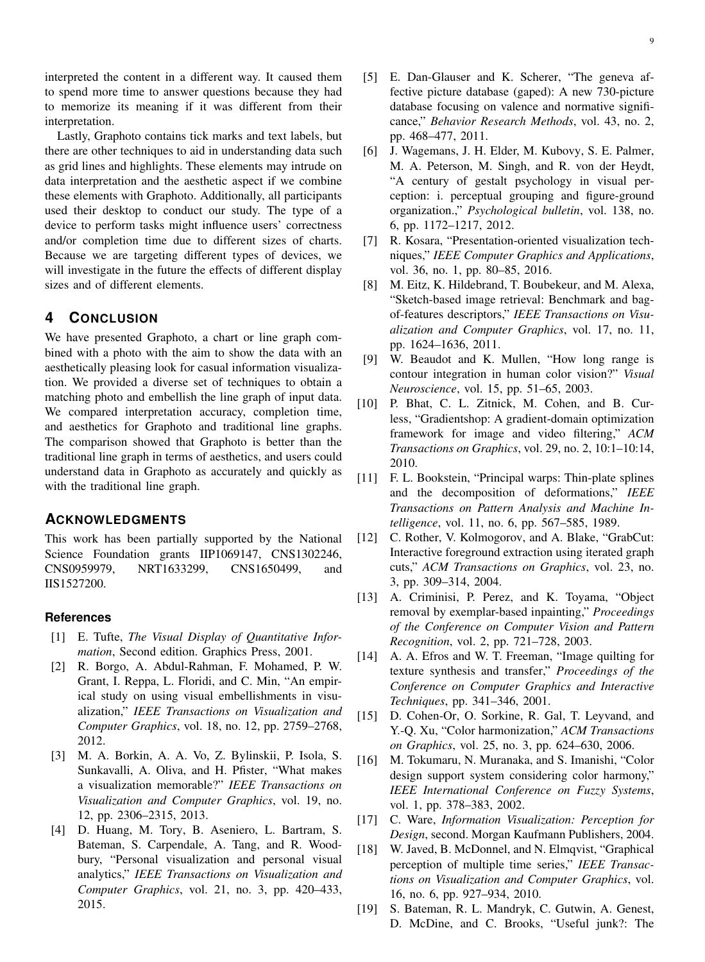Lastly, Graphoto contains tick marks and text labels, but there are other techniques to aid in understanding data such as grid lines and highlights. These elements may intrude on data interpretation and the aesthetic aspect if we combine these elements with Graphoto. Additionally, all participants used their desktop to conduct our study. The type of a device to perform tasks might influence users' correctness and/or completion time due to different sizes of charts. Because we are targeting different types of devices, we will investigate in the future the effects of different display sizes and of different elements.

#### 4 **CONCLUSION**

We have presented Graphoto, a chart or line graph combined with a photo with the aim to show the data with an aesthetically pleasing look for casual information visualization. We provided a diverse set of techniques to obtain a matching photo and embellish the line graph of input data. We compared interpretation accuracy, completion time, and aesthetics for Graphoto and traditional line graphs. The comparison showed that Graphoto is better than the traditional line graph in terms of aesthetics, and users could understand data in Graphoto as accurately and quickly as with the traditional line graph.

# **ACKNOWLEDGMENTS**

This work has been partially supported by the National Science Foundation grants IIP1069147, CNS1302246, CNS0959979, NRT1633299, CNS1650499, and IIS1527200.

# **References**

- [1] E. Tufte, The Visual Display of Quantitative Information, Second edition. Graphics Press, 2001.
- R. Borgo, A. Abdul-Rahman, F. Mohamed, P. W.  $\lceil 2 \rceil$ Grant, I. Reppa, L. Floridi, and C. Min, "An empirical study on using visual embellishments in visualization," IEEE Transactions on Visualization and Computer Graphics, vol. 18, no. 12, pp. 2759-2768, 2012.
- [3] M. A. Borkin, A. A. Vo, Z. Bylinskii, P. Isola, S. Sunkavalli, A. Oliva, and H. Pfister, "What makes a visualization memorable?" IEEE Transactions on Visualization and Computer Graphics, vol. 19, no. 12, pp. 2306-2315, 2013.
- [4] D. Huang, M. Tory, B. Aseniero, L. Bartram, S. Bateman, S. Carpendale, A. Tang, and R. Woodbury, "Personal visualization and personal visual analytics," IEEE Transactions on Visualization and Computer Graphics, vol. 21, no. 3, pp. 420-433, 2015.
- [5] E. Dan-Glauser and K. Scherer, "The geneva affective picture database (gaped): A new 730-picture database focusing on valence and normative significance," Behavior Research Methods, vol. 43, no. 2, pp. 468-477, 2011.
- [6] J. Wagemans, J. H. Elder, M. Kubovy, S. E. Palmer, M. A. Peterson, M. Singh, and R. von der Heydt, "A century of gestalt psychology in visual perception: i. perceptual grouping and figure-ground organization.," Psychological bulletin, vol. 138, no. 6, pp. 1172-1217, 2012.
- [7] R. Kosara, "Presentation-oriented visualization techniques," IEEE Computer Graphics and Applications, vol. 36, no. 1, pp. 80–85, 2016.
- [8] M. Eitz, K. Hildebrand, T. Boubekeur, and M. Alexa, "Sketch-based image retrieval: Benchmark and bagof-features descriptors," IEEE Transactions on Visualization and Computer Graphics, vol. 17, no. 11, pp. 1624-1636, 2011.
- [9] W. Beaudot and K. Mullen, "How long range is contour integration in human color vision?" Visual Neuroscience, vol. 15, pp. 51–65, 2003.
- [10] P. Bhat, C. L. Zitnick, M. Cohen, and B. Curless, "Gradientshop: A gradient-domain optimization framework for image and video filtering," ACM Transactions on Graphics, vol. 29, no. 2, 10:1-10:14, 2010.
- [11] F. L. Bookstein, "Principal warps: Thin-plate splines and the decomposition of deformations," IEEE Transactions on Pattern Analysis and Machine Intelligence, vol. 11, no. 6, pp. 567-585, 1989.
- [12] C. Rother, V. Kolmogorov, and A. Blake, "GrabCut: Interactive foreground extraction using iterated graph cuts," ACM Transactions on Graphics, vol. 23, no. 3, pp. 309–314, 2004.
- [13] A. Criminisi, P. Perez, and K. Toyama, "Object removal by exemplar-based inpainting," Proceedings of the Conference on Computer Vision and Pattern Recognition, vol. 2, pp. 721-728, 2003.
- $\lceil 14 \rceil$ A. A. Efros and W. T. Freeman, "Image quilting for texture synthesis and transfer," Proceedings of the Conference on Computer Graphics and Interactive Techniques, pp. 341-346, 2001.
- [15] D. Cohen-Or, O. Sorkine, R. Gal, T. Leyvand, and Y.-Q. Xu, "Color harmonization," ACM Transactions on Graphics, vol. 25, no. 3, pp. 624-630, 2006.
- $[16]$ M. Tokumaru, N. Muranaka, and S. Imanishi, "Color design support system considering color harmony," IEEE International Conference on Fuzzy Systems, vol. 1, pp. 378-383, 2002.
- [17] C. Ware, Information Visualization: Perception for Design, second. Morgan Kaufmann Publishers, 2004.
- [18] W. Javed, B. McDonnel, and N. Elmqvist, "Graphical" perception of multiple time series," IEEE Transactions on Visualization and Computer Graphics, vol. 16, no. 6, pp. 927–934, 2010.
- S. Bateman, R. L. Mandryk, C. Gutwin, A. Genest,  $[19]$ D. McDine, and C. Brooks, "Useful junk?: The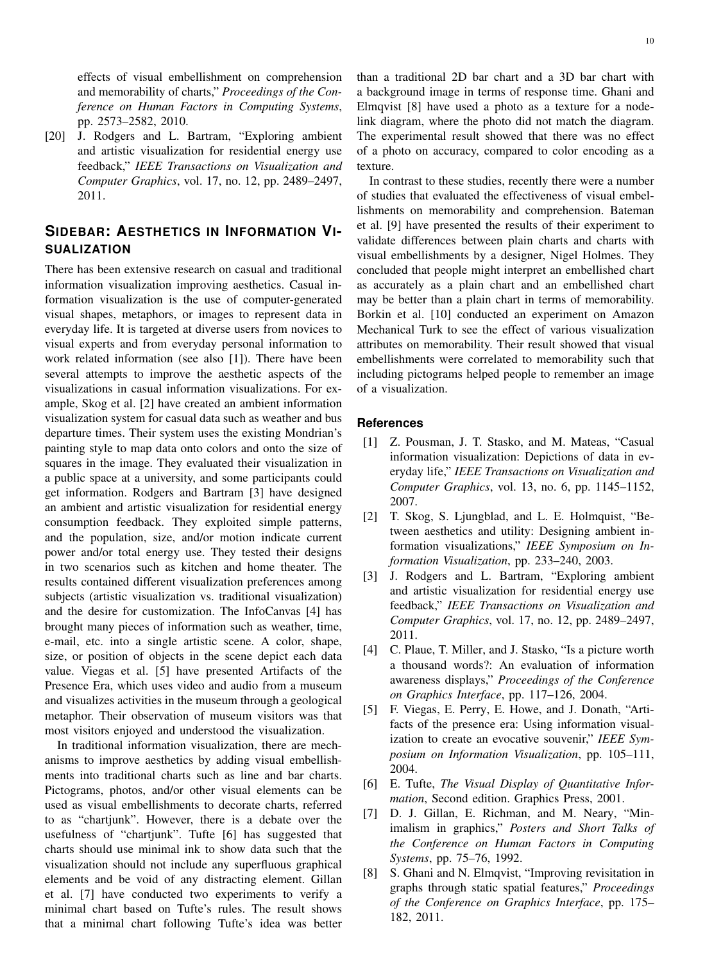effects of visual embellishment on comprehension and memorability of charts," Proceedings of the Conference on Human Factors in Computing Systems, pp. 2573-2582, 2010.

[20] J. Rodgers and L. Bartram, "Exploring ambient and artistic visualization for residential energy use feedback," IEEE Transactions on Visualization and Computer Graphics, vol. 17, no. 12, pp. 2489-2497, 2011.

# SIDEBAR: AESTHETICS IN INFORMATION VI-**SUALIZATION**

There has been extensive research on casual and traditional information visualization improving aesthetics. Casual information visualization is the use of computer-generated visual shapes, metaphors, or images to represent data in everyday life. It is targeted at diverse users from novices to visual experts and from everyday personal information to work related information (see also [1]). There have been several attempts to improve the aesthetic aspects of the visualizations in casual information visualizations. For example, Skog et al. [2] have created an ambient information visualization system for casual data such as weather and bus departure times. Their system uses the existing Mondrian's painting style to map data onto colors and onto the size of squares in the image. They evaluated their visualization in a public space at a university, and some participants could get information. Rodgers and Bartram [3] have designed an ambient and artistic visualization for residential energy consumption feedback. They exploited simple patterns, and the population, size, and/or motion indicate current power and/or total energy use. They tested their designs in two scenarios such as kitchen and home theater. The results contained different visualization preferences among subjects (artistic visualization vs. traditional visualization) and the desire for customization. The InfoCanvas [4] has brought many pieces of information such as weather, time, e-mail, etc. into a single artistic scene. A color, shape, size, or position of objects in the scene depict each data value. Viegas et al. [5] have presented Artifacts of the Presence Era, which uses video and audio from a museum and visualizes activities in the museum through a geological metaphor. Their observation of museum visitors was that most visitors enjoyed and understood the visualization.

In traditional information visualization, there are mechanisms to improve aesthetics by adding visual embellishments into traditional charts such as line and bar charts. Pictograms, photos, and/or other visual elements can be used as visual embellishments to decorate charts, referred to as "chartjunk". However, there is a debate over the usefulness of "chartjunk". Tufte [6] has suggested that charts should use minimal ink to show data such that the visualization should not include any superfluous graphical elements and be void of any distracting element. Gillan et al. [7] have conducted two experiments to verify a minimal chart based on Tufte's rules. The result shows that a minimal chart following Tufte's idea was better than a traditional 2D bar chart and a 3D bar chart with a background image in terms of response time. Ghani and Elmqvist [8] have used a photo as a texture for a nodelink diagram, where the photo did not match the diagram. The experimental result showed that there was no effect of a photo on accuracy, compared to color encoding as a texture.

In contrast to these studies, recently there were a number of studies that evaluated the effectiveness of visual embellishments on memorability and comprehension. Bateman et al. [9] have presented the results of their experiment to validate differences between plain charts and charts with visual embellishments by a designer, Nigel Holmes. They concluded that people might interpret an embellished chart as accurately as a plain chart and an embellished chart may be better than a plain chart in terms of memorability. Borkin et al. [10] conducted an experiment on Amazon Mechanical Turk to see the effect of various visualization attributes on memorability. Their result showed that visual embellishments were correlated to memorability such that including pictograms helped people to remember an image of a visualization.

### **References**

- [1] Z. Pousman, J. T. Stasko, and M. Mateas, "Casual information visualization: Depictions of data in everyday life," IEEE Transactions on Visualization and Computer Graphics, vol. 13, no. 6, pp. 1145-1152, 2007.
- [2] T. Skog, S. Ljungblad, and L. E. Holmquist, "Between aesthetics and utility: Designing ambient information visualizations," IEEE Symposium on Information Visualization, pp. 233-240, 2003.
- [3] J. Rodgers and L. Bartram, "Exploring ambient and artistic visualization for residential energy use feedback," IEEE Transactions on Visualization and Computer Graphics, vol. 17, no. 12, pp. 2489-2497, 2011.
- [4] C. Plaue, T. Miller, and J. Stasko, "Is a picture worth a thousand words?: An evaluation of information awareness displays," Proceedings of the Conference on Graphics Interface, pp. 117-126, 2004.
- [5] F. Viegas, E. Perry, E. Howe, and J. Donath, "Artifacts of the presence era: Using information visualization to create an evocative souvenir," IEEE Symposium on Information Visualization, pp. 105-111, 2004.
- [6] E. Tufte, The Visual Display of Quantitative Information, Second edition. Graphics Press, 2001.
- [7] D. J. Gillan, E. Richman, and M. Neary, "Minimalism in graphics," Posters and Short Talks of the Conference on Human Factors in Computing Systems, pp. 75-76, 1992.
- [8] S. Ghani and N. Elmqvist, "Improving revisitation in graphs through static spatial features," Proceedings of the Conference on Graphics Interface, pp. 175-182, 2011.